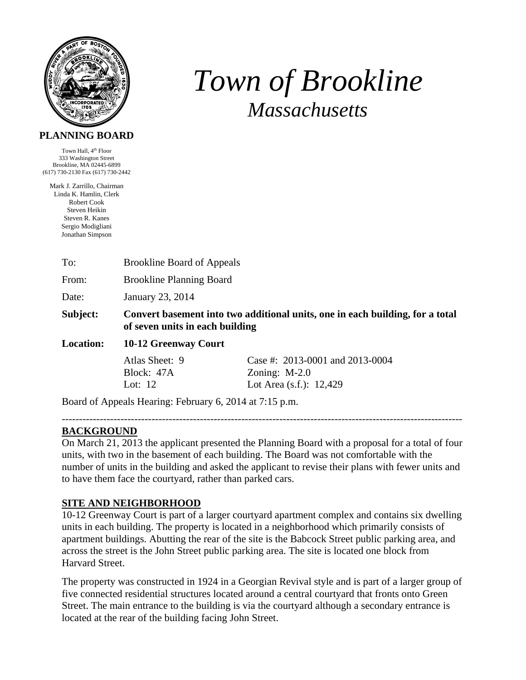

# *Town of Brookline Massachusetts*

#### **PLANNING BOARD**

Town Hall, 4<sup>th</sup> Floor 333 Washington Street Brookline, MA 02445-6899 (617) 730-2130 Fax (617) 730-2442

Mark J. Zarrillo, Chairman Linda K. Hamlin, Clerk Robert Cook Steven Heikin Steven R. Kanes Sergio Modigliani Jonathan Simpson

|  | To: | <b>Brookline Board of Appeals</b> |
|--|-----|-----------------------------------|
|--|-----|-----------------------------------|

From: Brookline Planning Board

Date: January 23, 2014

**Subject: Convert basement into two additional units, one in each building, for a total of seven units in each building** 

### **Location: 10-12 Greenway Court**

| Atlas Sheet: 9 | Case #: $2013-0001$ and $2013-0004$ |
|----------------|-------------------------------------|
| Block: 47A     | Zoning: $M-2.0$                     |
| Lot: 12        | Lot Area $(s.f.)$ : 12,429          |

Board of Appeals Hearing: February 6, 2014 at 7:15 p.m.

## **BACKGROUND**

On March 21, 2013 the applicant presented the Planning Board with a proposal for a total of four units, with two in the basement of each building. The Board was not comfortable with the number of units in the building and asked the applicant to revise their plans with fewer units and to have them face the courtyard, rather than parked cars.

--------------------------------------------------------------------------------------------------------------------

### **SITE AND NEIGHBORHOOD**

10-12 Greenway Court is part of a larger courtyard apartment complex and contains six dwelling units in each building. The property is located in a neighborhood which primarily consists of apartment buildings. Abutting the rear of the site is the Babcock Street public parking area, and across the street is the John Street public parking area. The site is located one block from Harvard Street.

The property was constructed in 1924 in a Georgian Revival style and is part of a larger group of five connected residential structures located around a central courtyard that fronts onto Green Street. The main entrance to the building is via the courtyard although a secondary entrance is located at the rear of the building facing John Street.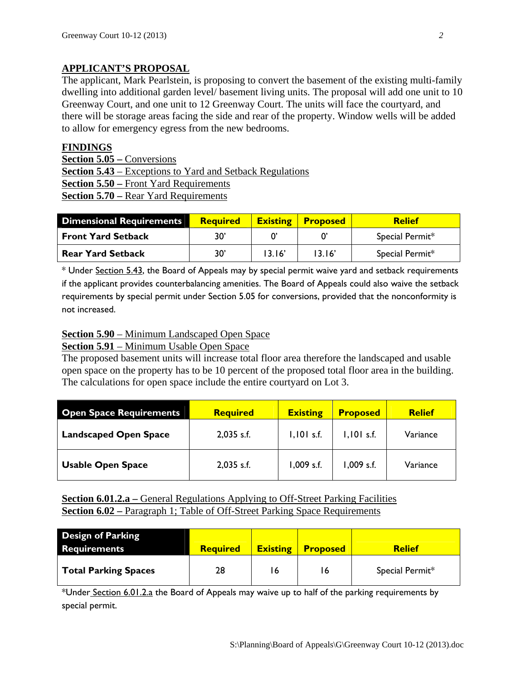## **APPLICANT'S PROPOSAL**

The applicant, Mark Pearlstein, is proposing to convert the basement of the existing multi-family dwelling into additional garden level/ basement living units. The proposal will add one unit to 10 Greenway Court, and one unit to 12 Greenway Court. The units will face the courtyard, and there will be storage areas facing the side and rear of the property. Window wells will be added to allow for emergency egress from the new bedrooms.

#### **FINDINGS**

**Section 5.05 –** Conversions **Section 5.43** – Exceptions to Yard and Setback Regulations **Section 5.50 –** Front Yard Requirements **Section 5.70 –** Rear Yard Requirements

| <b>Dimensional Requirements</b> | <b>Required</b> | <b>Existing</b> | <b>Proposed</b> | <b>Relief</b>   |
|---------------------------------|-----------------|-----------------|-----------------|-----------------|
| <b>Front Yard Setback</b>       | 30'             |                 |                 | Special Permit* |
| <b>Rear Yard Setback</b>        | 30'             | 13.16'          | 13.16'          | Special Permit* |

\* Under Section 5.43, the Board of Appeals may by special permit waive yard and setback requirements if the applicant provides counterbalancing amenities. The Board of Appeals could also waive the setback requirements by special permit under Section 5.05 for conversions, provided that the nonconformity is not increased.

### **Section 5.90** – Minimum Landscaped Open Space

### **Section 5.91** – Minimum Usable Open Space

The proposed basement units will increase total floor area therefore the landscaped and usable open space on the property has to be 10 percent of the proposed total floor area in the building. The calculations for open space include the entire courtyard on Lot 3.

| <b>Open Space Requirements</b> | <b>Required</b> | <b>Existing</b> | <b>Proposed</b> | <b>Relief</b> |
|--------------------------------|-----------------|-----------------|-----------------|---------------|
| <b>Landscaped Open Space</b>   | $2,035$ s.f.    | $1,101$ s.f.    | I, I01 s.f.     | Variance      |
| <b>Usable Open Space</b>       | $2,035$ s.f.    | 1,009 s.f.      | $1,009$ s.f.    | Variance      |

**<u>Section 6.01.2.a** – General Regulations Applying to Off-Street Parking Facilities</u> **Section 6.02** – Paragraph 1; Table of Off-Street Parking Space Requirements

| <b>Design of Parking</b><br><b>Requirements</b> | <b>Required</b> | <b>Existing</b> | <b>Proposed</b> | <b>Relief</b>   |
|-------------------------------------------------|-----------------|-----------------|-----------------|-----------------|
| Total Parking Spaces                            | 28              | 16              | 16              | Special Permit* |

\*Under Section 6.01.2.a the Board of Appeals may waive up to half of the parking requirements by special permit.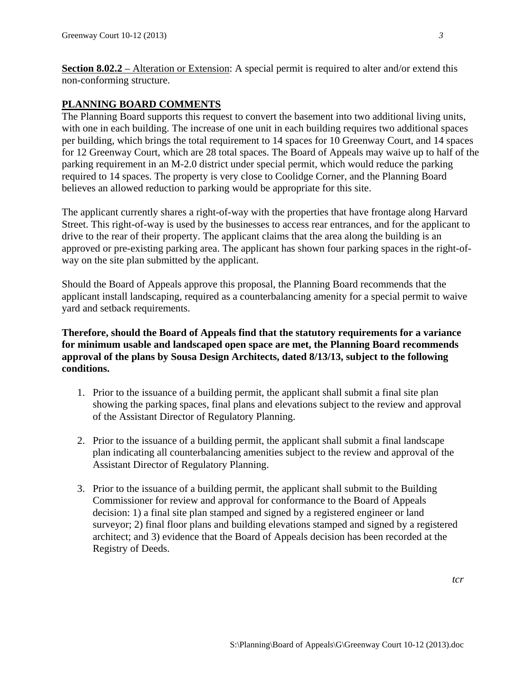**Section 8.02.2** – Alteration or Extension: A special permit is required to alter and/or extend this non-conforming structure.

#### **PLANNING BOARD COMMENTS**

The Planning Board supports this request to convert the basement into two additional living units, with one in each building. The increase of one unit in each building requires two additional spaces per building, which brings the total requirement to 14 spaces for 10 Greenway Court, and 14 spaces for 12 Greenway Court, which are 28 total spaces. The Board of Appeals may waive up to half of the parking requirement in an M-2.0 district under special permit, which would reduce the parking required to 14 spaces. The property is very close to Coolidge Corner, and the Planning Board believes an allowed reduction to parking would be appropriate for this site.

The applicant currently shares a right-of-way with the properties that have frontage along Harvard Street. This right-of-way is used by the businesses to access rear entrances, and for the applicant to drive to the rear of their property. The applicant claims that the area along the building is an approved or pre-existing parking area. The applicant has shown four parking spaces in the right-ofway on the site plan submitted by the applicant.

Should the Board of Appeals approve this proposal, the Planning Board recommends that the applicant install landscaping, required as a counterbalancing amenity for a special permit to waive yard and setback requirements.

#### **Therefore, should the Board of Appeals find that the statutory requirements for a variance for minimum usable and landscaped open space are met, the Planning Board recommends approval of the plans by Sousa Design Architects, dated 8/13/13, subject to the following conditions.**

- 1. Prior to the issuance of a building permit, the applicant shall submit a final site plan showing the parking spaces, final plans and elevations subject to the review and approval of the Assistant Director of Regulatory Planning.
- 2. Prior to the issuance of a building permit, the applicant shall submit a final landscape plan indicating all counterbalancing amenities subject to the review and approval of the Assistant Director of Regulatory Planning.
- 3. Prior to the issuance of a building permit, the applicant shall submit to the Building Commissioner for review and approval for conformance to the Board of Appeals decision: 1) a final site plan stamped and signed by a registered engineer or land surveyor; 2) final floor plans and building elevations stamped and signed by a registered architect; and 3) evidence that the Board of Appeals decision has been recorded at the Registry of Deeds.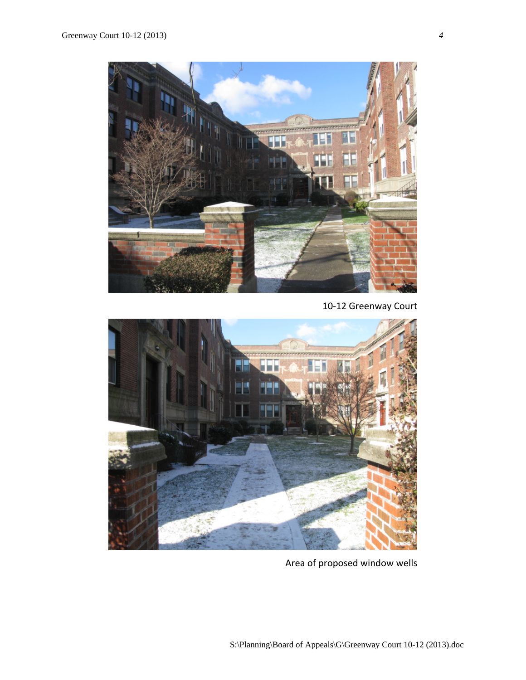

10‐12 Greenway Court



Area of proposed window wells